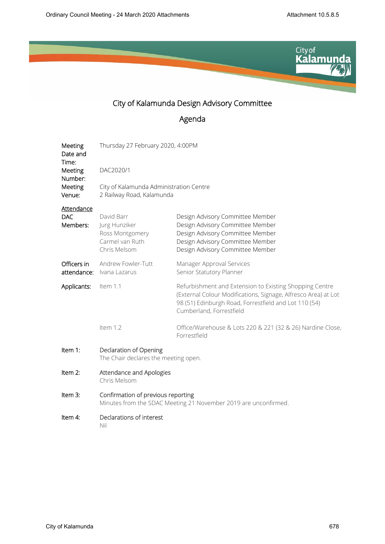

## City of Kalamunda Design Advisory Committee

## Agenda

| Meeting<br>Date and<br>Time:         | Thursday 27 February 2020, 4:00PM                                                                     |                                                                                                                                                                                                                |  |  |
|--------------------------------------|-------------------------------------------------------------------------------------------------------|----------------------------------------------------------------------------------------------------------------------------------------------------------------------------------------------------------------|--|--|
| Meeting<br>Number:                   | DAC2020/1                                                                                             |                                                                                                                                                                                                                |  |  |
| Meeting<br>Venue:                    | City of Kalamunda Administration Centre<br>2 Railway Road, Kalamunda                                  |                                                                                                                                                                                                                |  |  |
| <b>Attendance</b><br>DAC<br>Members: | David Barr<br>Jurg Hunziker<br>Ross Montgomery<br>Carmel van Ruth<br>Chris Melsom                     | Design Advisory Committee Member<br>Design Advisory Committee Member<br>Design Advisory Committee Member<br>Design Advisory Committee Member<br>Design Advisory Committee Member                               |  |  |
| Officers in<br>attendance:           | Andrew Fowler-Tutt<br>Ivana Lazarus                                                                   | Manager Approval Services<br>Senior Statutory Planner                                                                                                                                                          |  |  |
| Applicants:                          | Item 1.1                                                                                              | Refurbishment and Extension to Existing Shopping Centre<br>(External Colour Modifications, Signage, Alfresco Area) at Lot<br>98 (51) Edinburgh Road, Forrestfield and Lot 110 (54)<br>Cumberland, Forrestfield |  |  |
|                                      | Item 1.2                                                                                              | Office/Warehouse & Lots 220 & 221 (32 & 26) Nardine Close,<br>Forrestfield                                                                                                                                     |  |  |
| Item 1:                              | Declaration of Opening<br>The Chair declares the meeting open.                                        |                                                                                                                                                                                                                |  |  |
| Item 2:                              | Attendance and Apologies<br>Chris Melsom                                                              |                                                                                                                                                                                                                |  |  |
| Item 3:                              | Confirmation of previous reporting<br>Minutes from the SDAC Meeting 21 November 2019 are unconfirmed. |                                                                                                                                                                                                                |  |  |
| Item 4:                              | Declarations of interest<br>Nil                                                                       |                                                                                                                                                                                                                |  |  |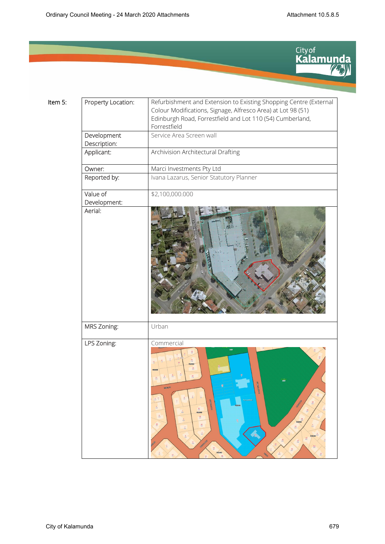

| Item 5: | Property Location:       | Refurbishment and Extension to Existing Shopping Centre (External<br>Colour Modifications, Signage, Alfresco Area) at Lot 98 (51)                                                                                                                                                                                                                                                                                                                                                                                                                |  |  |  |
|---------|--------------------------|--------------------------------------------------------------------------------------------------------------------------------------------------------------------------------------------------------------------------------------------------------------------------------------------------------------------------------------------------------------------------------------------------------------------------------------------------------------------------------------------------------------------------------------------------|--|--|--|
|         |                          | Edinburgh Road, Forrestfield and Lot 110 (54) Cumberland,                                                                                                                                                                                                                                                                                                                                                                                                                                                                                        |  |  |  |
|         |                          | Forrestfield                                                                                                                                                                                                                                                                                                                                                                                                                                                                                                                                     |  |  |  |
|         | Development              | Service Area Screen wall                                                                                                                                                                                                                                                                                                                                                                                                                                                                                                                         |  |  |  |
|         | Description:             |                                                                                                                                                                                                                                                                                                                                                                                                                                                                                                                                                  |  |  |  |
|         | Applicant:               | Archivision Architectural Drafting                                                                                                                                                                                                                                                                                                                                                                                                                                                                                                               |  |  |  |
|         | Owner:                   | Marci Investments Pty Ltd                                                                                                                                                                                                                                                                                                                                                                                                                                                                                                                        |  |  |  |
|         | Reported by:             | Ivana Lazarus, Senior Statutory Planner                                                                                                                                                                                                                                                                                                                                                                                                                                                                                                          |  |  |  |
|         | Value of<br>Development: | \$2,100,000.000                                                                                                                                                                                                                                                                                                                                                                                                                                                                                                                                  |  |  |  |
|         | Aerial:                  |                                                                                                                                                                                                                                                                                                                                                                                                                                                                                                                                                  |  |  |  |
|         | MRS Zoning:              | Urban                                                                                                                                                                                                                                                                                                                                                                                                                                                                                                                                            |  |  |  |
|         | LPS Zoning:              | Commercial<br><b>Bearing</b><br><b>CONSCRIPT</b><br>$\frac{52}{203}$<br>$\frac{11}{37}$ $\frac{11}{7}$<br>Forrestitule<br><b>SEXUALS OF</b><br><b>CONSTRUCTION</b><br>325.60<br>$\frac{4}{138}$<br>$\frac{44}{100}$<br>$\frac{3}{108}$<br>R25/60<br>$rac{6}{133}$<br>$\frac{46}{101}$<br><b>R25/60</b><br>$\frac{\delta}{\hbar\Omega}$<br>3<br>$\frac{48}{102}$<br>$\frac{44}{503}$<br>$\frac{7}{106}$<br>驫<br>$\frac{9}{105}$<br>R25/40<br>$rac{85}{475}$<br>$\frac{57}{496}$<br><b>Outrossed</b><br>$rac{653}{494}$<br>$rac{84}{65}$<br>R25/60 |  |  |  |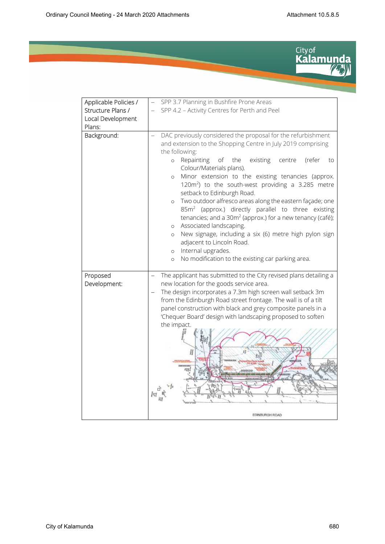

| Applicable Policies /<br>Structure Plans /<br>Local Development<br>Plans: | SPP 3.7 Planning in Bushfire Prone Areas<br>SPP 4.2 - Activity Centres for Perth and Peel                                                                                                                                                                                                                                                                                                                                                                                                                                                                                                                                                                                                                                                                                                                                                           |
|---------------------------------------------------------------------------|-----------------------------------------------------------------------------------------------------------------------------------------------------------------------------------------------------------------------------------------------------------------------------------------------------------------------------------------------------------------------------------------------------------------------------------------------------------------------------------------------------------------------------------------------------------------------------------------------------------------------------------------------------------------------------------------------------------------------------------------------------------------------------------------------------------------------------------------------------|
| Background:                                                               | DAC previously considered the proposal for the refurbishment<br>and extension to the Shopping Centre in July 2019 comprising<br>the following:<br>o Repainting<br>of the<br>existing<br>(refer<br>centre<br>to<br>Colour/Materials plans).<br>Minor extension to the existing tenancies (approx.<br>$\circ$<br>120 $m2$ ) to the south-west providing a 3.285 metre<br>setback to Edinburgh Road.<br>Two outdoor alfresco areas along the eastern façade; one<br>$\circ$<br>85m <sup>2</sup> (approx.) directly parallel to three existing<br>tenancies; and a $30m^2$ (approx.) for a new tenancy (café);<br>Associated landscaping.<br>$\circ$<br>New signage, including a six (6) metre high pylon sign<br>$\circ$<br>adjacent to Lincoln Road.<br>Internal upgrades.<br>$\circ$<br>No modification to the existing car parking area.<br>$\circ$ |
| Proposed<br>Development:                                                  | The applicant has submitted to the City revised plans detailing a<br>new location for the goods service area.<br>The design incorporates a 7.3m high screen wall setback 3m<br>from the Edinburgh Road street frontage. The wall is of a tilt<br>panel construction with black and grey composite panels in a<br>'Chequer Board' design with landscaping proposed to soften<br>the impact.<br>EDINBURGH ROAD                                                                                                                                                                                                                                                                                                                                                                                                                                        |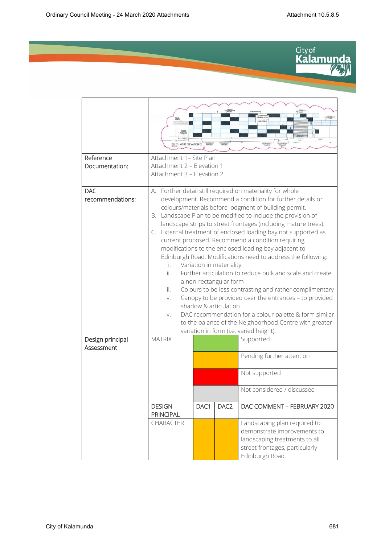<sup>City of</sup><br>Kalamunda

|                                | SOUTH WEST ELEVATION E6                                                                                                                                                                                                                                                                                                                                                                                                                                                                                                                                                                                                                                                                                                                                                                                                                                                                                                                                                                                                            | <b>STREET LATER</b> | <b>THE REAL</b>  | <b>ENTER-</b><br>POOD WORK<br><b>GEEMI DISTRIBU</b><br>JPAYORMER<br>GELIC BURDE<br><b>TORONTO</b>                                                 |
|--------------------------------|------------------------------------------------------------------------------------------------------------------------------------------------------------------------------------------------------------------------------------------------------------------------------------------------------------------------------------------------------------------------------------------------------------------------------------------------------------------------------------------------------------------------------------------------------------------------------------------------------------------------------------------------------------------------------------------------------------------------------------------------------------------------------------------------------------------------------------------------------------------------------------------------------------------------------------------------------------------------------------------------------------------------------------|---------------------|------------------|---------------------------------------------------------------------------------------------------------------------------------------------------|
| Reference<br>Documentation:    | Attachment 1- Site Plan<br>Attachment 2 - Elevation 1<br>Attachment 3 - Elevation 2                                                                                                                                                                                                                                                                                                                                                                                                                                                                                                                                                                                                                                                                                                                                                                                                                                                                                                                                                |                     |                  |                                                                                                                                                   |
| <b>DAC</b><br>recommendations: | A. Further detail still required on materiality for whole<br>development. Recommend a condition for further details on<br>colours/materials before lodgment of building permit.<br>B. Landscape Plan to be modified to include the provision of<br>landscape strips to street frontages (including mature trees).<br>C. External treatment of enclosed loading bay not supported as<br>current proposed. Recommend a condition requiring<br>modifications to the enclosed loading bay adjacent to<br>Edinburgh Road. Modifications need to address the following:<br>Variation in materiality<br>i.<br>ii.<br>Further articulation to reduce bulk and scale and create<br>a non-rectangular form<br>Colours to be less contrasting and rather complimentary<br>iii.<br>Canopy to be provided over the entrances - to provided<br>iv.<br>shadow & articulation<br>DAC recommendation for a colour palette & form similar<br>V.<br>to the balance of the Neighborhood Centre with greater<br>variation in form (i.e. varied height). |                     |                  |                                                                                                                                                   |
| Design principal<br>Assessment | <b>MATRIX</b>                                                                                                                                                                                                                                                                                                                                                                                                                                                                                                                                                                                                                                                                                                                                                                                                                                                                                                                                                                                                                      |                     |                  | Supported<br>Pending further attention                                                                                                            |
|                                |                                                                                                                                                                                                                                                                                                                                                                                                                                                                                                                                                                                                                                                                                                                                                                                                                                                                                                                                                                                                                                    |                     |                  | Not supported                                                                                                                                     |
|                                |                                                                                                                                                                                                                                                                                                                                                                                                                                                                                                                                                                                                                                                                                                                                                                                                                                                                                                                                                                                                                                    |                     |                  | Not considered / discussed                                                                                                                        |
|                                | <b>DESIGN</b><br><b>PRINCIPAL</b>                                                                                                                                                                                                                                                                                                                                                                                                                                                                                                                                                                                                                                                                                                                                                                                                                                                                                                                                                                                                  | DAC1                | DAC <sub>2</sub> | DAC COMMENT - FEBRUARY 2020                                                                                                                       |
|                                | <b>CHARACTER</b>                                                                                                                                                                                                                                                                                                                                                                                                                                                                                                                                                                                                                                                                                                                                                                                                                                                                                                                                                                                                                   |                     |                  | Landscaping plan required to<br>demonstrate improvements to<br>landscaping treatments to all<br>street frontages, particularly<br>Edinburgh Road. |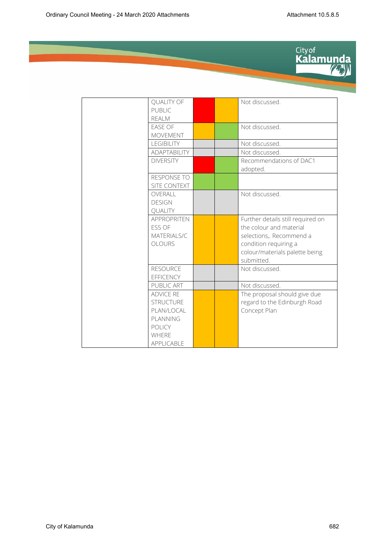

| QUALITY OF<br><b>PUBLIC</b><br><b>REALM</b>                                                     |  | Not discussed.                                                                                                                                                    |
|-------------------------------------------------------------------------------------------------|--|-------------------------------------------------------------------------------------------------------------------------------------------------------------------|
| EASE OF<br><b>MOVEMENT</b>                                                                      |  | Not discussed.                                                                                                                                                    |
| <b>LEGIBILITY</b>                                                                               |  | Not discussed.                                                                                                                                                    |
| ADAPTABILITY                                                                                    |  | Not discussed.                                                                                                                                                    |
| <b>DIVERSITY</b>                                                                                |  | Recommendations of DAC1<br>adopted.                                                                                                                               |
| RESPONSE TO<br>SITE CONTEXT                                                                     |  |                                                                                                                                                                   |
| OVERALL<br><b>DESIGN</b><br>QUALITY                                                             |  | Not discussed.                                                                                                                                                    |
| <b>APPROPRITEN</b><br>ESS OF<br>MATERIALS/C<br><b>OLOURS</b>                                    |  | Further details still required on<br>the colour and material<br>selections,. Recommend a<br>condition requiring a<br>colour/materials palette being<br>submitted. |
| <b>RESOURCE</b><br><b>EFFICENCY</b>                                                             |  | Not discussed.                                                                                                                                                    |
| PUBLIC ART                                                                                      |  | Not discussed.                                                                                                                                                    |
| ADVICE RE<br><b>STRUCTURE</b><br>PLAN/LOCAL<br>PLANNING<br><b>POLICY</b><br>WHERE<br>APPLICABLE |  | The proposal should give due<br>regard to the Edinburgh Road<br>Concept Plan                                                                                      |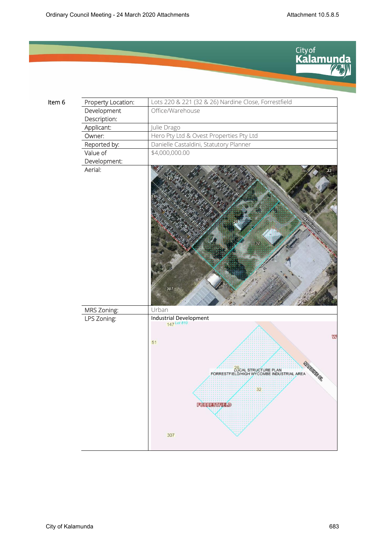

| ltem 6 | Property Location: | Lots 220 & 221 (32 & 26) Nardine Close, Forrestfield                                                                            |  |  |  |  |
|--------|--------------------|---------------------------------------------------------------------------------------------------------------------------------|--|--|--|--|
|        | Development        | Office/Warehouse                                                                                                                |  |  |  |  |
|        | Description:       |                                                                                                                                 |  |  |  |  |
|        | Applicant:         | Julie Drago                                                                                                                     |  |  |  |  |
|        | Owner:             | Hero Pty Ltd & Ovest Properties Pty Ltd                                                                                         |  |  |  |  |
|        | Reported by:       | Danielle Castaldini, Statutory Planner                                                                                          |  |  |  |  |
|        | Value of           | \$4,000,000.00                                                                                                                  |  |  |  |  |
|        | Development:       |                                                                                                                                 |  |  |  |  |
|        | Aerial:            | 32<br>307                                                                                                                       |  |  |  |  |
|        | MRS Zoning:        | Urban                                                                                                                           |  |  |  |  |
|        | LPS Zoning:        | Industrial Development<br>147 Lot 810<br><b>WY</b><br>51                                                                        |  |  |  |  |
|        |                    | <b>AZARDANS</b><br><b>EUCAL STRUCTURE PLAN</b><br>FORRESTFIELD/HIGH WYCOMBE INDUSTRIAL AREA<br>32<br><b>FORRESTFIELD</b><br>307 |  |  |  |  |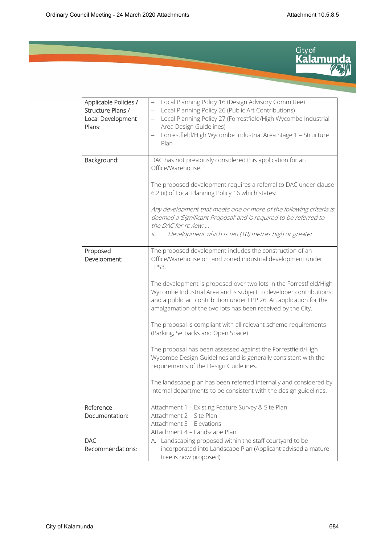

| Applicable Policies /<br>Structure Plans /<br>Local Development<br>Plans: | Local Planning Policy 16 (Design Advisory Committee)<br>Local Planning Policy 26 (Public Art Contributions)<br>Local Planning Policy 27 (Forrestfield/High Wycombe Industrial<br>$\qquad \qquad -$<br>Area Design Guidelines)<br>Forrestfield/High Wycombe Industrial Area Stage 1 - Structure<br>Plan |
|---------------------------------------------------------------------------|--------------------------------------------------------------------------------------------------------------------------------------------------------------------------------------------------------------------------------------------------------------------------------------------------------|
| Background:                                                               | DAC has not previously considered this application for an<br>Office/Warehouse.<br>The proposed development requires a referral to DAC under clause                                                                                                                                                     |
|                                                                           | 6.2 (ii) of Local Planning Policy 16 which states:                                                                                                                                                                                                                                                     |
|                                                                           | Any development that meets one or more of the following criteria is<br>deemed a 'Significant Proposal' and is required to be referred to<br>the DAC for review:<br>Development which is ten (10) metres high or greater<br>ii.                                                                         |
|                                                                           |                                                                                                                                                                                                                                                                                                        |
| Proposed<br>Development:                                                  | The proposed development includes the construction of an<br>Office/Warehouse on land zoned industrial development under<br>LPS3.                                                                                                                                                                       |
|                                                                           | The development is proposed over two lots in the Forrestfield/High<br>Wycombe Industrial Area and is subject to developer contributions;<br>and a public art contribution under LPP 26. An application for the<br>amalgamation of the two lots has been received by the City.                          |
|                                                                           | The proposal is compliant with all relevant scheme requirements<br>(Parking, Setbacks and Open Space)                                                                                                                                                                                                  |
|                                                                           | The proposal has been assessed against the Forrestfield/High<br>Wycombe Design Guidelines and is generally consistent with the<br>requirements of the Design Guidelines.                                                                                                                               |
|                                                                           | The landscape plan has been referred internally and considered by<br>internal departments to be consistent with the design guidelines.                                                                                                                                                                 |
| Reference                                                                 | Attachment 1 - Existing Feature Survey & Site Plan                                                                                                                                                                                                                                                     |
| Documentation:                                                            | Attachment 2 - Site Plan                                                                                                                                                                                                                                                                               |
|                                                                           | Attachment 3 - Elevations                                                                                                                                                                                                                                                                              |
|                                                                           | Attachment 4 - Landscape Plan                                                                                                                                                                                                                                                                          |
| DAC                                                                       | A. Landscaping proposed within the staff courtyard to be                                                                                                                                                                                                                                               |
| Recommendations:                                                          | incorporated into Landscape Plan (Applicant advised a mature                                                                                                                                                                                                                                           |
|                                                                           | tree is now proposed).                                                                                                                                                                                                                                                                                 |
|                                                                           |                                                                                                                                                                                                                                                                                                        |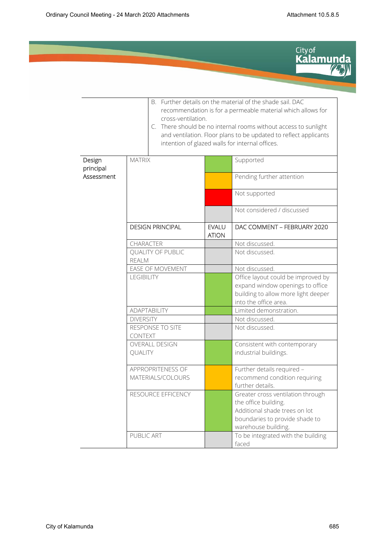

|                         |                                          | cross-ventilation.           | B. Further details on the material of the shade sail. DAC<br>recommendation is for a permeable material which allows for<br>C. There should be no internal rooms without access to sunlight<br>and ventilation. Floor plans to be updated to reflect applicants<br>intention of glazed walls for internal offices. |
|-------------------------|------------------------------------------|------------------------------|--------------------------------------------------------------------------------------------------------------------------------------------------------------------------------------------------------------------------------------------------------------------------------------------------------------------|
| Design                  | <b>MATRIX</b>                            |                              | Supported                                                                                                                                                                                                                                                                                                          |
| principal<br>Assessment |                                          |                              | Pending further attention                                                                                                                                                                                                                                                                                          |
|                         |                                          |                              | Not supported                                                                                                                                                                                                                                                                                                      |
|                         |                                          |                              | Not considered / discussed                                                                                                                                                                                                                                                                                         |
|                         | <b>DESIGN PRINCIPAL</b>                  | <b>EVALU</b><br><b>ATION</b> | DAC COMMENT - FEBRUARY 2020                                                                                                                                                                                                                                                                                        |
|                         | CHARACTER                                |                              | Not discussed.                                                                                                                                                                                                                                                                                                     |
|                         | <b>QUALITY OF PUBLIC</b><br><b>REALM</b> |                              | Not discussed.                                                                                                                                                                                                                                                                                                     |
|                         | EASE OF MOVEMENT                         |                              | Not discussed.                                                                                                                                                                                                                                                                                                     |
|                         | <b>LEGIBILITY</b>                        |                              | Office layout could be improved by<br>expand window openings to office<br>building to allow more light deeper<br>into the office area.                                                                                                                                                                             |
|                         | <b>ADAPTABILITY</b>                      |                              | Limited demonstration.                                                                                                                                                                                                                                                                                             |
|                         | <b>DIVERSITY</b>                         |                              | Not discussed.                                                                                                                                                                                                                                                                                                     |
|                         | RESPONSE TO SITE<br>CONTEXT              |                              | Not discussed.                                                                                                                                                                                                                                                                                                     |
|                         | <b>OVERALL DESIGN</b><br>QUALITY         |                              | Consistent with contemporary<br>industrial buildings.                                                                                                                                                                                                                                                              |
|                         | APPROPRITENESS OF<br>MATERIALS/COLOURS   |                              | Further details required -<br>recommend condition requiring<br>further details.                                                                                                                                                                                                                                    |
|                         | RESOURCE EFFICENCY                       |                              | Greater cross ventilation through<br>the office building.<br>Additional shade trees on lot<br>boundaries to provide shade to<br>warehouse building.                                                                                                                                                                |
|                         | PUBLIC ART                               |                              | To be integrated with the building<br>faced                                                                                                                                                                                                                                                                        |